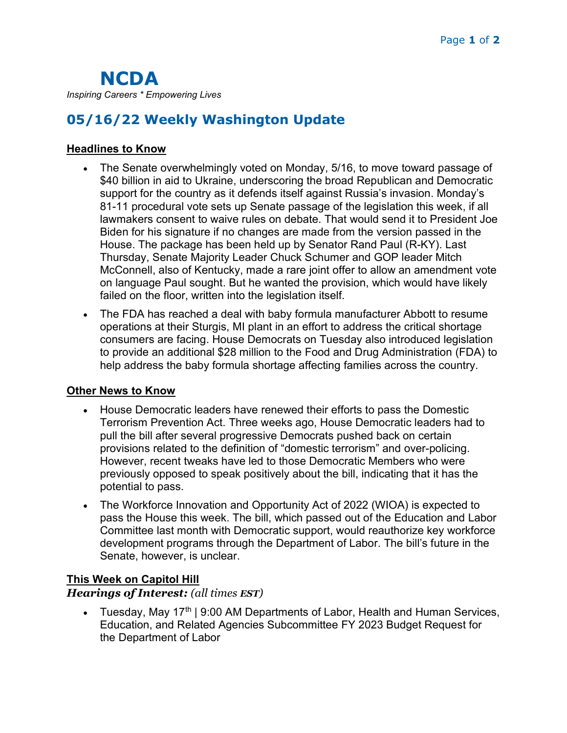# 05/16/22 Weekly Washington Update

### Headlines to Know

- The Senate overwhelmingly voted on Monday, 5/16, to move toward passage of \$40 billion in aid to Ukraine, underscoring the broad Republican and Democratic support for the country as it defends itself against Russia's invasion. Monday's 81-11 procedural vote sets up Senate passage of the legislation this week, if all lawmakers consent to waive rules on debate. That would send it to President Joe Biden for his signature if no changes are made from the version passed in the House. The package has been held up by Senator Rand Paul (R-KY). Last Thursday, Senate Majority Leader Chuck Schumer and GOP leader Mitch McConnell, also of Kentucky, made a rare joint offer to allow an amendment vote on language Paul sought. But he wanted the provision, which would have likely failed on the floor, written into the legislation itself.
- The FDA has reached a deal with baby formula manufacturer Abbott to resume operations at their Sturgis, MI plant in an effort to address the critical shortage consumers are facing. House Democrats on Tuesday also introduced legislation to provide an additional \$28 million to the Food and Drug Administration (FDA) to help address the baby formula shortage affecting families across the country.

#### Other News to Know

- House Democratic leaders have renewed their efforts to pass the Domestic Terrorism Prevention Act. Three weeks ago, House Democratic leaders had to pull the bill after several progressive Democrats pushed back on certain provisions related to the definition of "domestic terrorism" and over-policing. However, recent tweaks have led to those Democratic Members who were previously opposed to speak positively about the bill, indicating that it has the potential to pass.
- The Workforce Innovation and Opportunity Act of 2022 (WIOA) is expected to pass the House this week. The bill, which passed out of the Education and Labor Committee last month with Democratic support, would reauthorize key workforce development programs through the Department of Labor. The bill's future in the Senate, however, is unclear.

## This Week on Capitol Hill

#### Hearings of Interest: (all times EST)

• Tuesday, May 17<sup>th</sup> | 9:00 AM Departments of Labor, Health and Human Services, Education, and Related Agencies Subcommittee FY 2023 Budget Request for the Department of Labor